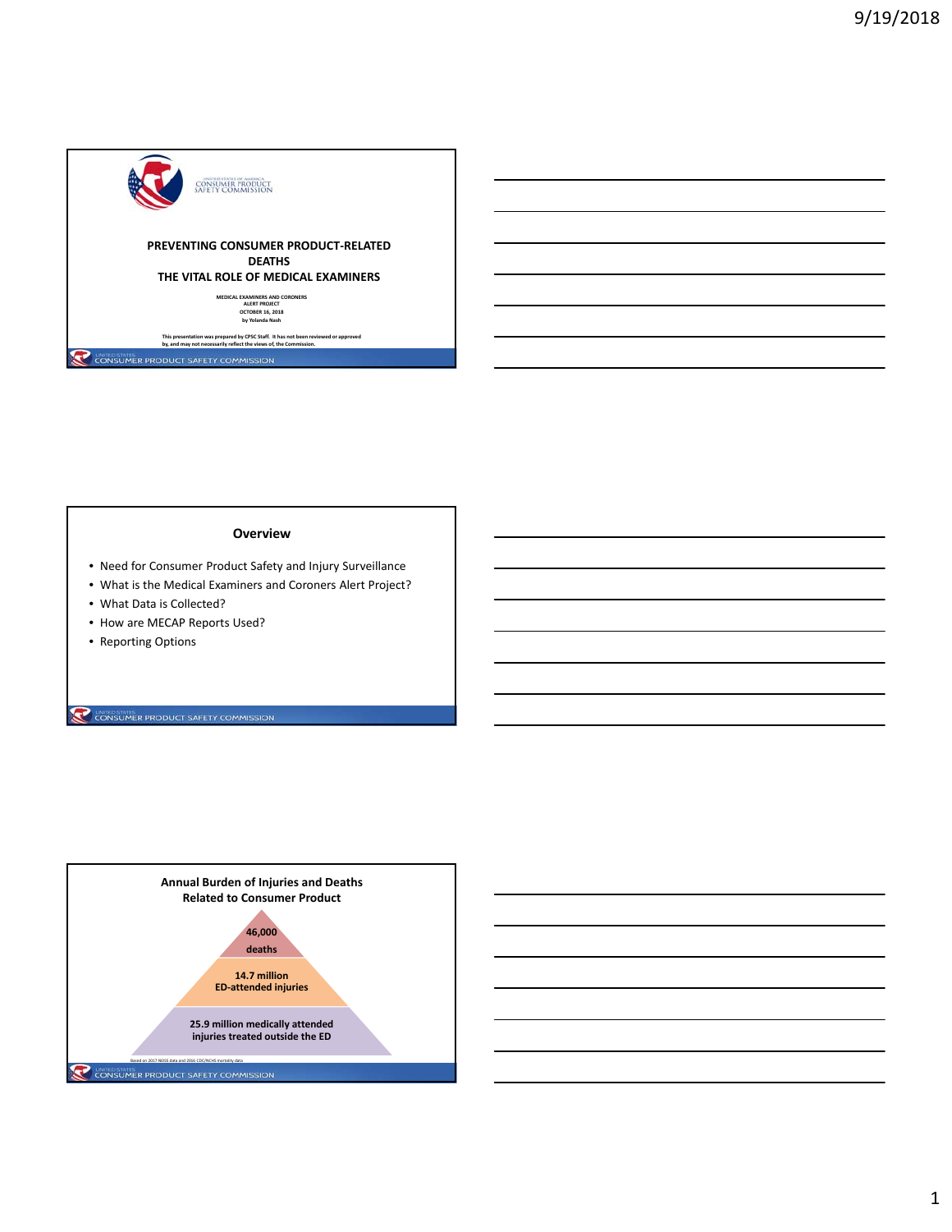

## **Overview**

- Need for Consumer Product Safety and Injury Surveillance
- What is the Medical Examiners and Coroners Alert Project?
- What Data is Collected?
- How are MECAP Reports Used?
- Reporting Options

CONSUMER PRODUCT SAFETY COMMISSION

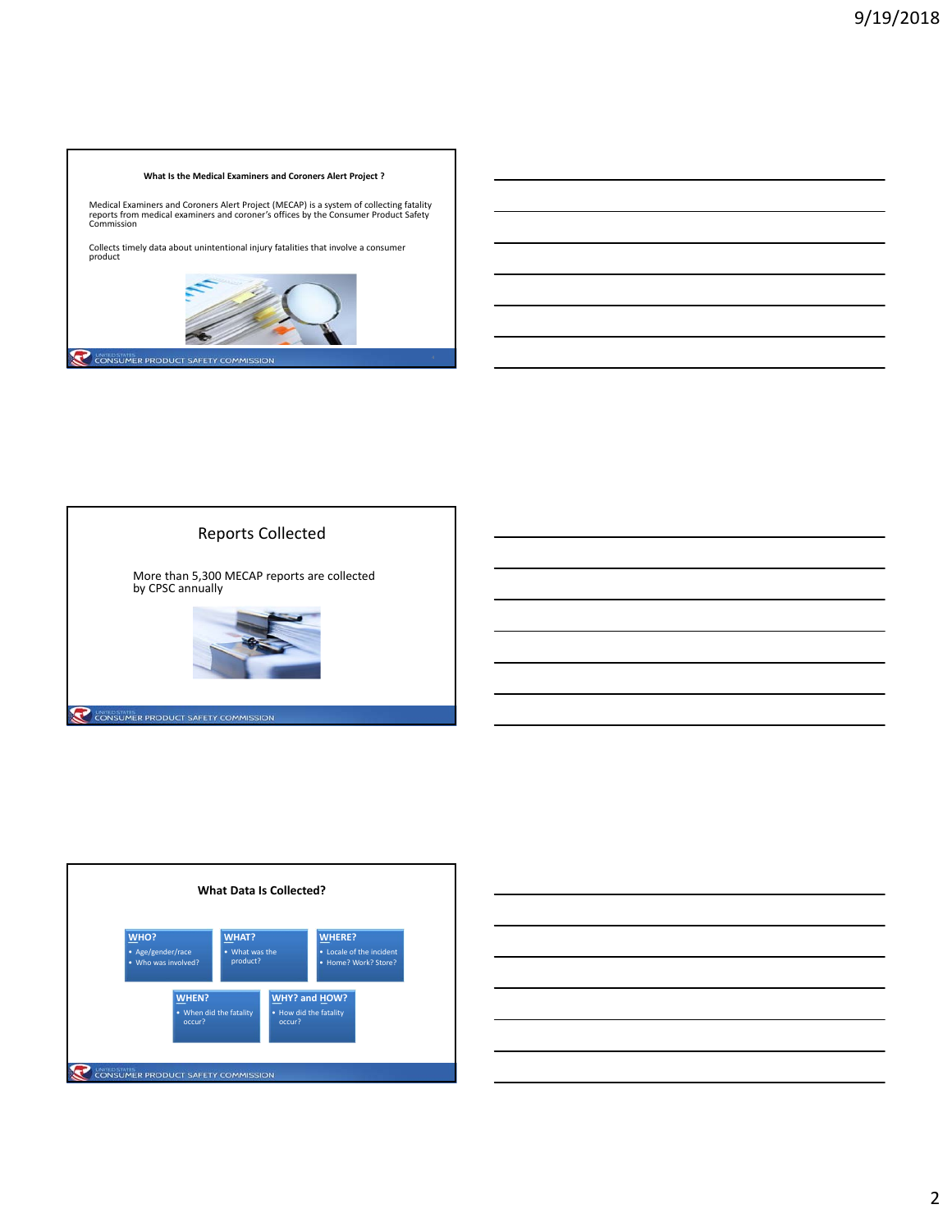## **What Is the Medical Examiners and Coroners Alert Project ?**

Medical Examiners and Coroners Alert Project (MECAP) is a system of collecting fatality<br>reports from medical examiners and coroner's offices by the Consumer Product Safety<br>Commission

Collects timely data about unintentional injury fatalities that involve <sup>a</sup> consumer product







| <u> 1989 - Johann Stoff, amerikansk politiker (d. 1989)</u> |  |  |
|-------------------------------------------------------------|--|--|
|                                                             |  |  |
|                                                             |  |  |
|                                                             |  |  |
|                                                             |  |  |
|                                                             |  |  |
|                                                             |  |  |
|                                                             |  |  |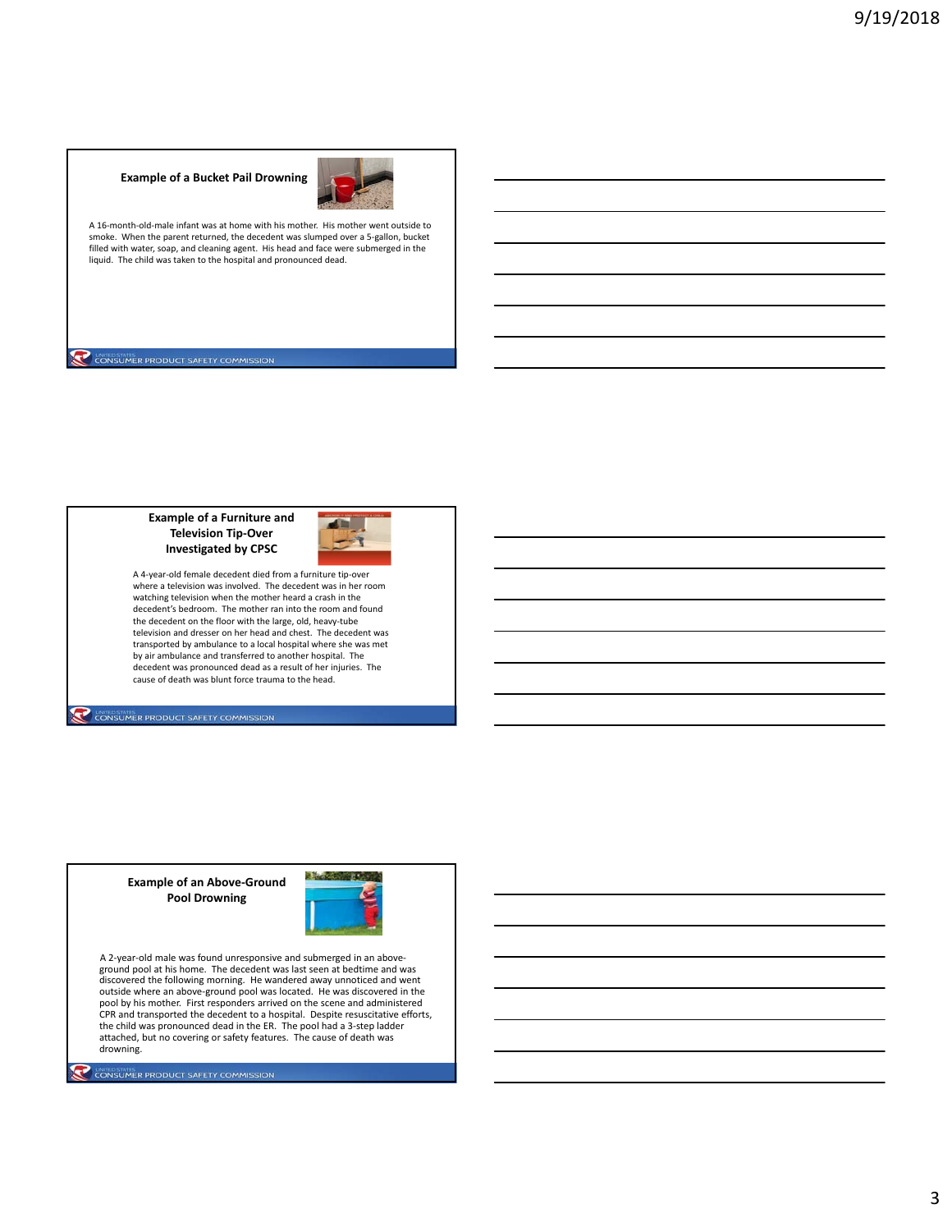## **Example of a Bucket Pail Drowning**



A 16‐month‐old‐male infant was at home with his mother. His mother went outside to smoke. When the parent returned, the decedent was slumped over a 5‐gallon, bucket filled with water, soap, and cleaning agent. His head and face were submerged in the liquid. The child was taken to the hospital and pronounced dead.

CONSUMER PRODUCT SAFETY COMMISSION

## **Example of a Furniture and Television Tip‐Over Investigated by CPSC**



A 4‐year‐old female decedent died from a furniture tip‐over where a television was involved. The decedent was in her room watching television when the mother heard a crash in the decedent's bedroom. The mother ran into the room and found the decedent on the floor with the large, old, heavy-tube television and dresser on her head and chest. The decedent was transported by ambulance to a local hospital where she was met by air ambulance and transferred to another hospital. The decedent was pronounced dead as a result of her injuries. The cause of death was blunt force trauma to the head.

CONSUMER PRODUCT SAFETY COMMISSION

**Example of an Above‐Ground Pool Drowning**

CONSUMER PRODUCT SAFETY COMMISSION



A 2‐year‐old male was found unresponsive and submerged in an above‐ ground pool at his home. The decedent was last seen at bedtime and was discovered the following morning. He wandered away unnoticed and went outside where an above-ground pool was located. He was discovered in the<br>pool by his mother. First responders arrived on the scene and administered<br>CPR and transported the decedent to a hospital. Despite resuscitative effo the child was pronounced dead in the ER. The pool had a 3‐step ladder attached, but no covering or safety features. The cause of death was drowning.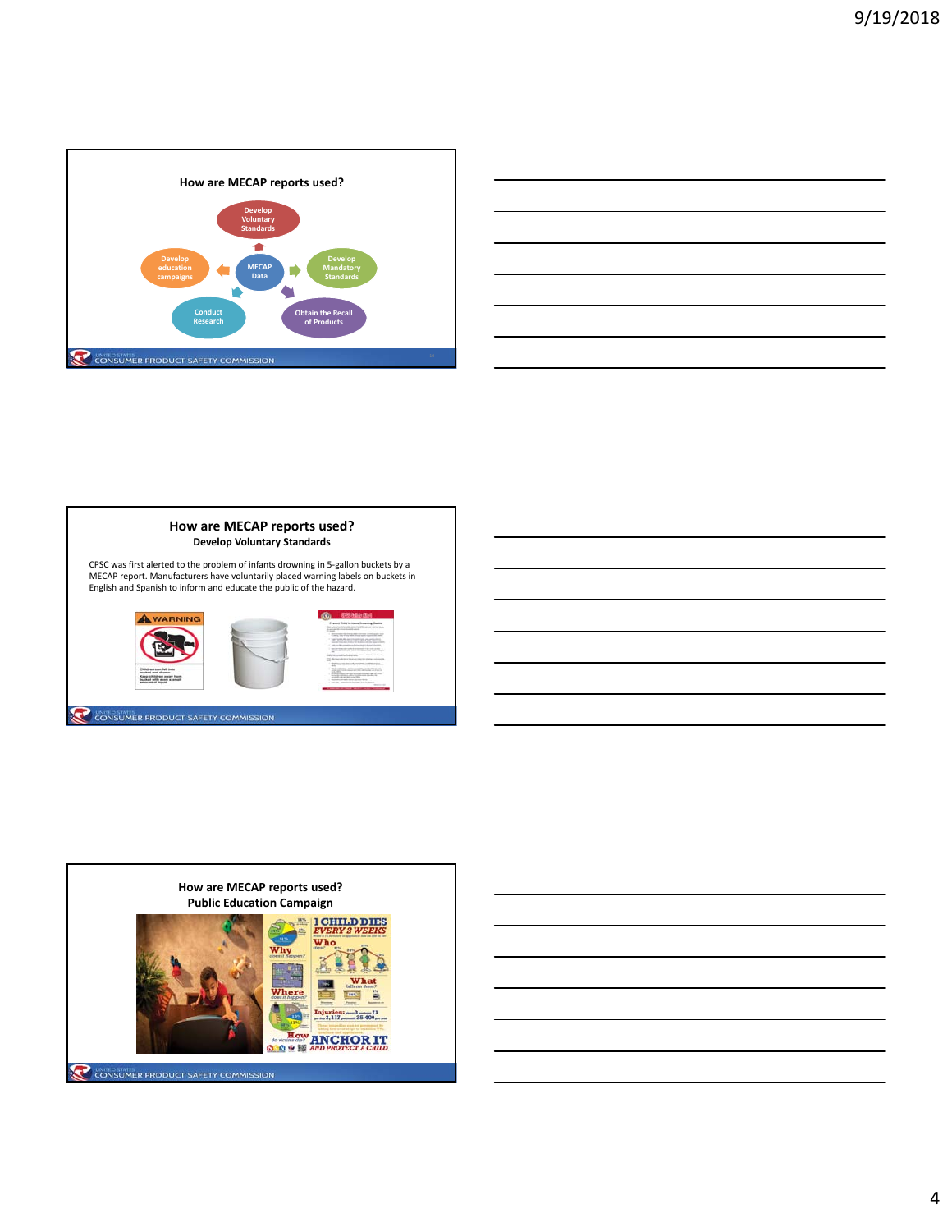







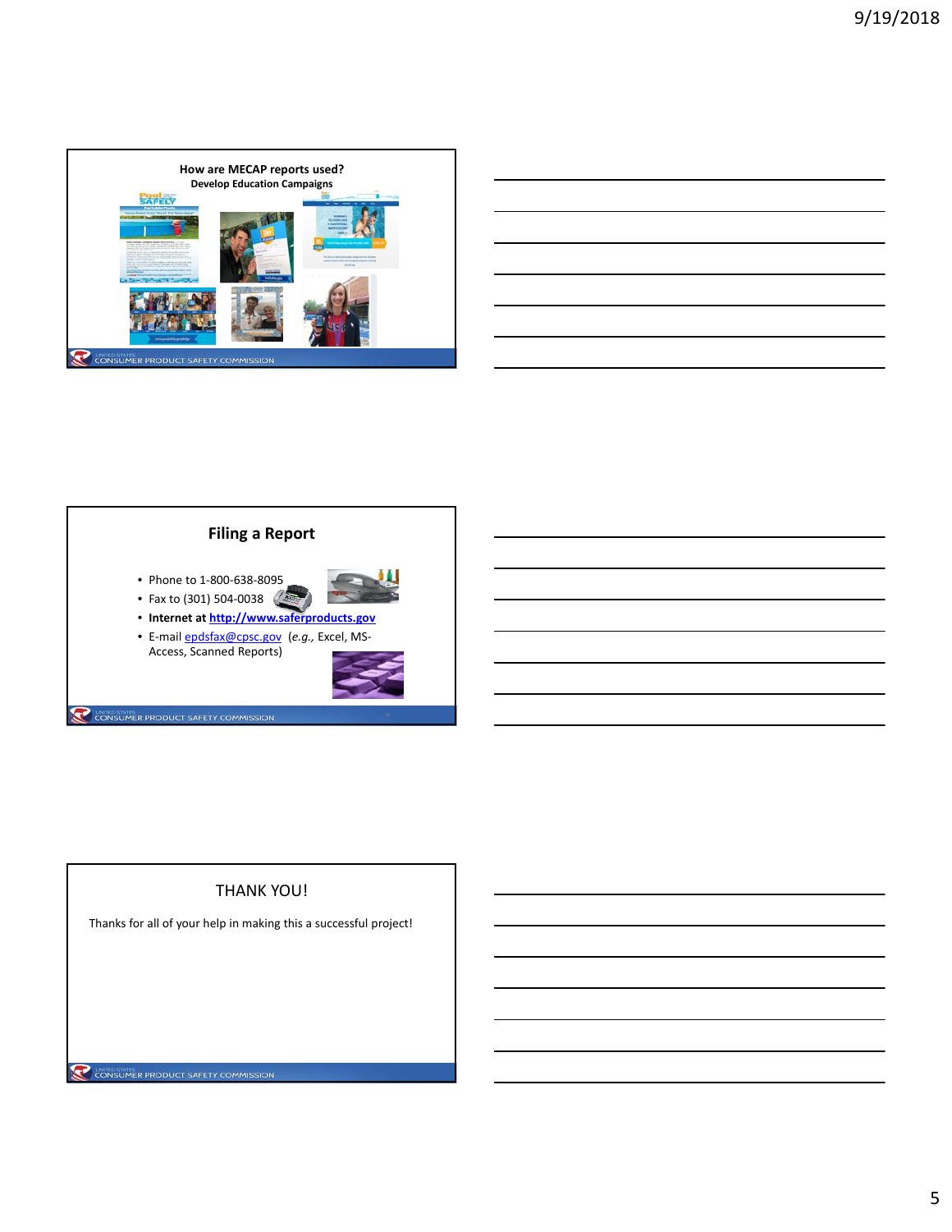